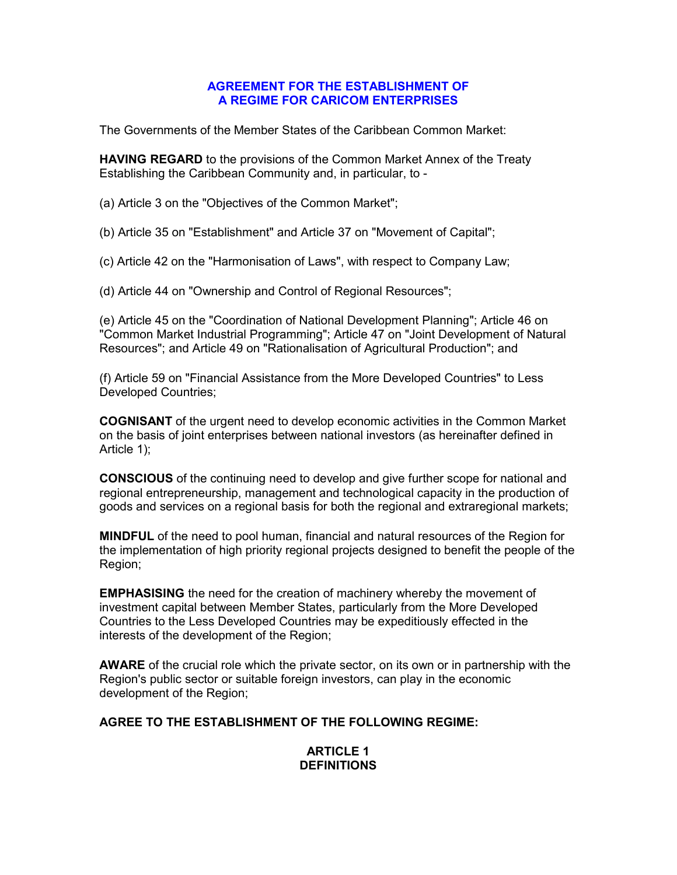# AGREEMENT FOR THE ESTABLISHMENT OF A REGIME FOR CARICOM ENTERPRISES

The Governments of the Member States of the Caribbean Common Market:

HAVING REGARD to the provisions of the Common Market Annex of the Treaty Establishing the Caribbean Community and, in particular, to -

(a) Article 3 on the "Objectives of the Common Market";

(b) Article 35 on "Establishment" and Article 37 on "Movement of Capital";

(c) Article 42 on the "Harmonisation of Laws", with respect to Company Law;

(d) Article 44 on "Ownership and Control of Regional Resources";

(e) Article 45 on the "Coordination of National Development Planning"; Article 46 on "Common Market Industrial Programming"; Article 47 on "Joint Development of Natural Resources"; and Article 49 on "Rationalisation of Agricultural Production"; and

(f) Article 59 on "Financial Assistance from the More Developed Countries" to Less Developed Countries;

COGNISANT of the urgent need to develop economic activities in the Common Market on the basis of joint enterprises between national investors (as hereinafter defined in Article 1);

CONSCIOUS of the continuing need to develop and give further scope for national and regional entrepreneurship, management and technological capacity in the production of goods and services on a regional basis for both the regional and extraregional markets;

MINDFUL of the need to pool human, financial and natural resources of the Region for the implementation of high priority regional projects designed to benefit the people of the Region;

EMPHASISING the need for the creation of machinery whereby the movement of investment capital between Member States, particularly from the More Developed Countries to the Less Developed Countries may be expeditiously effected in the interests of the development of the Region;

AWARE of the crucial role which the private sector, on its own or in partnership with the Region's public sector or suitable foreign investors, can play in the economic development of the Region;

# AGREE TO THE ESTABLISHMENT OF THE FOLLOWING REGIME:

#### ARTICLE 1 **DEFINITIONS**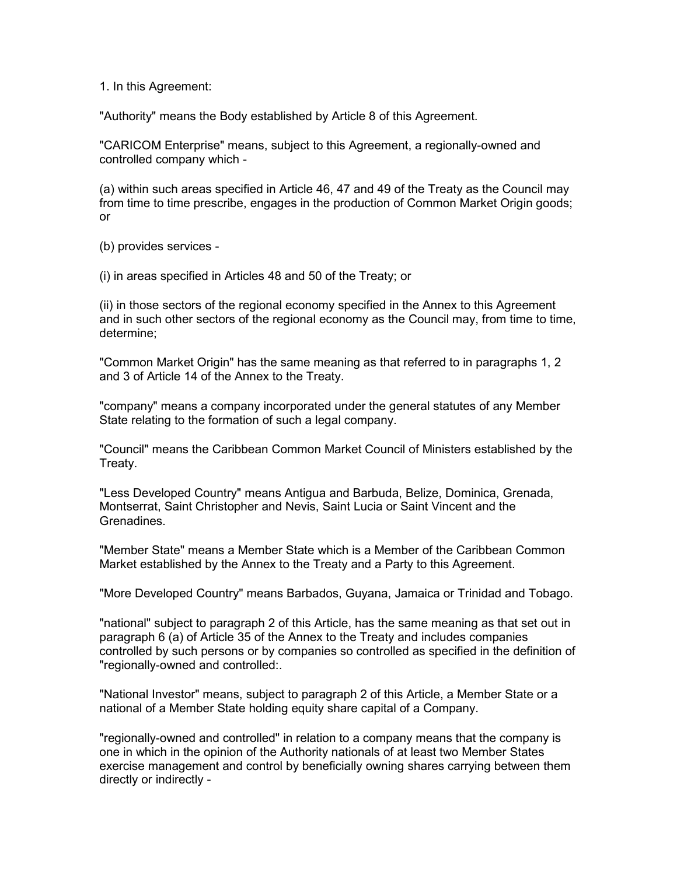1. In this Agreement:

"Authority" means the Body established by Article 8 of this Agreement.

"CARICOM Enterprise" means, subject to this Agreement, a regionally-owned and controlled company which -

(a) within such areas specified in Article 46, 47 and 49 of the Treaty as the Council may from time to time prescribe, engages in the production of Common Market Origin goods; or

(b) provides services -

(i) in areas specified in Articles 48 and 50 of the Treaty; or

(ii) in those sectors of the regional economy specified in the Annex to this Agreement and in such other sectors of the regional economy as the Council may, from time to time, determine;

"Common Market Origin" has the same meaning as that referred to in paragraphs 1, 2 and 3 of Article 14 of the Annex to the Treaty.

"company" means a company incorporated under the general statutes of any Member State relating to the formation of such a legal company.

"Council" means the Caribbean Common Market Council of Ministers established by the Treaty.

"Less Developed Country" means Antigua and Barbuda, Belize, Dominica, Grenada, Montserrat, Saint Christopher and Nevis, Saint Lucia or Saint Vincent and the Grenadines.

"Member State" means a Member State which is a Member of the Caribbean Common Market established by the Annex to the Treaty and a Party to this Agreement.

"More Developed Country" means Barbados, Guyana, Jamaica or Trinidad and Tobago.

"national" subject to paragraph 2 of this Article, has the same meaning as that set out in paragraph 6 (a) of Article 35 of the Annex to the Treaty and includes companies controlled by such persons or by companies so controlled as specified in the definition of "regionally-owned and controlled:.

"National Investor" means, subject to paragraph 2 of this Article, a Member State or a national of a Member State holding equity share capital of a Company.

"regionally-owned and controlled" in relation to a company means that the company is one in which in the opinion of the Authority nationals of at least two Member States exercise management and control by beneficially owning shares carrying between them directly or indirectly -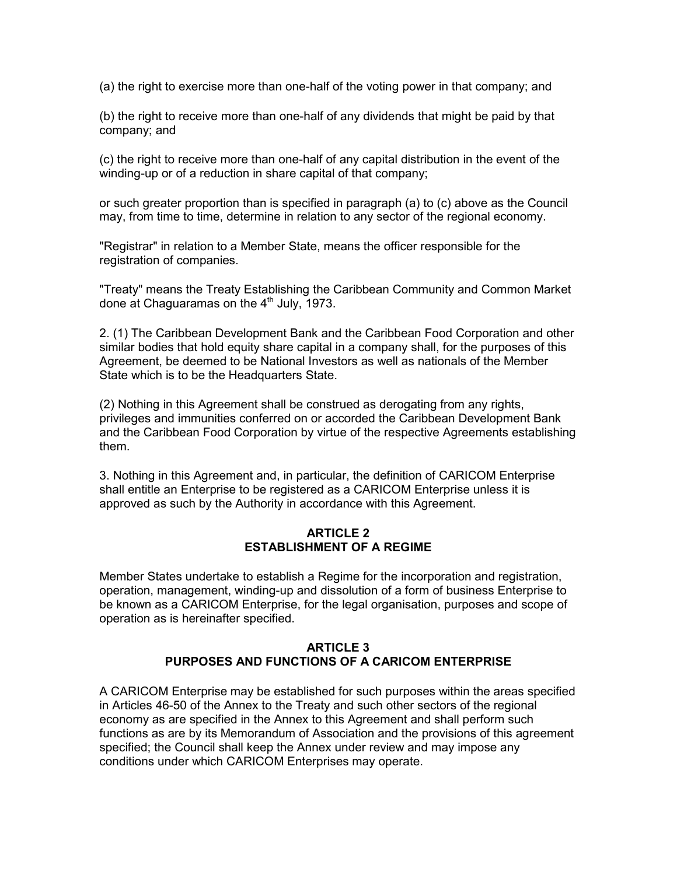(a) the right to exercise more than one-half of the voting power in that company; and

(b) the right to receive more than one-half of any dividends that might be paid by that company; and

(c) the right to receive more than one-half of any capital distribution in the event of the winding-up or of a reduction in share capital of that company;

or such greater proportion than is specified in paragraph (a) to (c) above as the Council may, from time to time, determine in relation to any sector of the regional economy.

"Registrar" in relation to a Member State, means the officer responsible for the registration of companies.

"Treaty" means the Treaty Establishing the Caribbean Community and Common Market done at Chaguaramas on the 4<sup>th</sup> July, 1973.

2. (1) The Caribbean Development Bank and the Caribbean Food Corporation and other similar bodies that hold equity share capital in a company shall, for the purposes of this Agreement, be deemed to be National Investors as well as nationals of the Member State which is to be the Headquarters State.

(2) Nothing in this Agreement shall be construed as derogating from any rights, privileges and immunities conferred on or accorded the Caribbean Development Bank and the Caribbean Food Corporation by virtue of the respective Agreements establishing them.

3. Nothing in this Agreement and, in particular, the definition of CARICOM Enterprise shall entitle an Enterprise to be registered as a CARICOM Enterprise unless it is approved as such by the Authority in accordance with this Agreement.

# ARTICLE 2 ESTABLISHMENT OF A REGIME

Member States undertake to establish a Regime for the incorporation and registration, operation, management, winding-up and dissolution of a form of business Enterprise to be known as a CARICOM Enterprise, for the legal organisation, purposes and scope of operation as is hereinafter specified.

# ARTICLE 3 PURPOSES AND FUNCTIONS OF A CARICOM ENTERPRISE

A CARICOM Enterprise may be established for such purposes within the areas specified in Articles 46-50 of the Annex to the Treaty and such other sectors of the regional economy as are specified in the Annex to this Agreement and shall perform such functions as are by its Memorandum of Association and the provisions of this agreement specified; the Council shall keep the Annex under review and may impose any conditions under which CARICOM Enterprises may operate.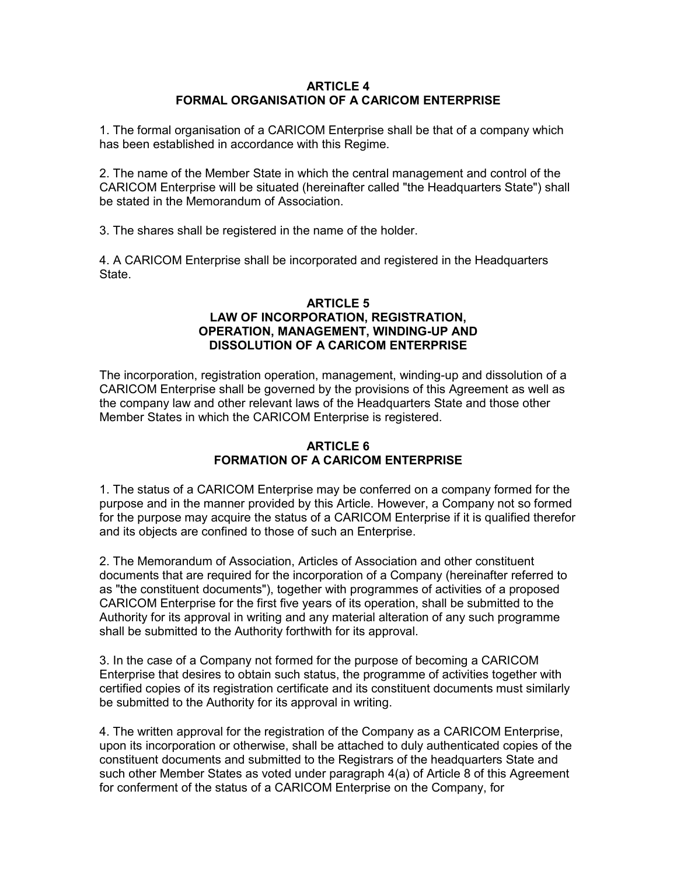#### ARTICLE 4 FORMAL ORGANISATION OF A CARICOM ENTERPRISE

1. The formal organisation of a CARICOM Enterprise shall be that of a company which has been established in accordance with this Regime.

2. The name of the Member State in which the central management and control of the CARICOM Enterprise will be situated (hereinafter called "the Headquarters State") shall be stated in the Memorandum of Association.

3. The shares shall be registered in the name of the holder.

4. A CARICOM Enterprise shall be incorporated and registered in the Headquarters State.

# ARTICLE 5 LAW OF INCORPORATION, REGISTRATION, OPERATION, MANAGEMENT, WINDING-UP AND DISSOLUTION OF A CARICOM ENTERPRISE

The incorporation, registration operation, management, winding-up and dissolution of a CARICOM Enterprise shall be governed by the provisions of this Agreement as well as the company law and other relevant laws of the Headquarters State and those other Member States in which the CARICOM Enterprise is registered.

# ARTICLE 6 FORMATION OF A CARICOM ENTERPRISE

1. The status of a CARICOM Enterprise may be conferred on a company formed for the purpose and in the manner provided by this Article. However, a Company not so formed for the purpose may acquire the status of a CARICOM Enterprise if it is qualified therefor and its objects are confined to those of such an Enterprise.

2. The Memorandum of Association, Articles of Association and other constituent documents that are required for the incorporation of a Company (hereinafter referred to as "the constituent documents"), together with programmes of activities of a proposed CARICOM Enterprise for the first five years of its operation, shall be submitted to the Authority for its approval in writing and any material alteration of any such programme shall be submitted to the Authority forthwith for its approval.

3. In the case of a Company not formed for the purpose of becoming a CARICOM Enterprise that desires to obtain such status, the programme of activities together with certified copies of its registration certificate and its constituent documents must similarly be submitted to the Authority for its approval in writing.

4. The written approval for the registration of the Company as a CARICOM Enterprise, upon its incorporation or otherwise, shall be attached to duly authenticated copies of the constituent documents and submitted to the Registrars of the headquarters State and such other Member States as voted under paragraph 4(a) of Article 8 of this Agreement for conferment of the status of a CARICOM Enterprise on the Company, for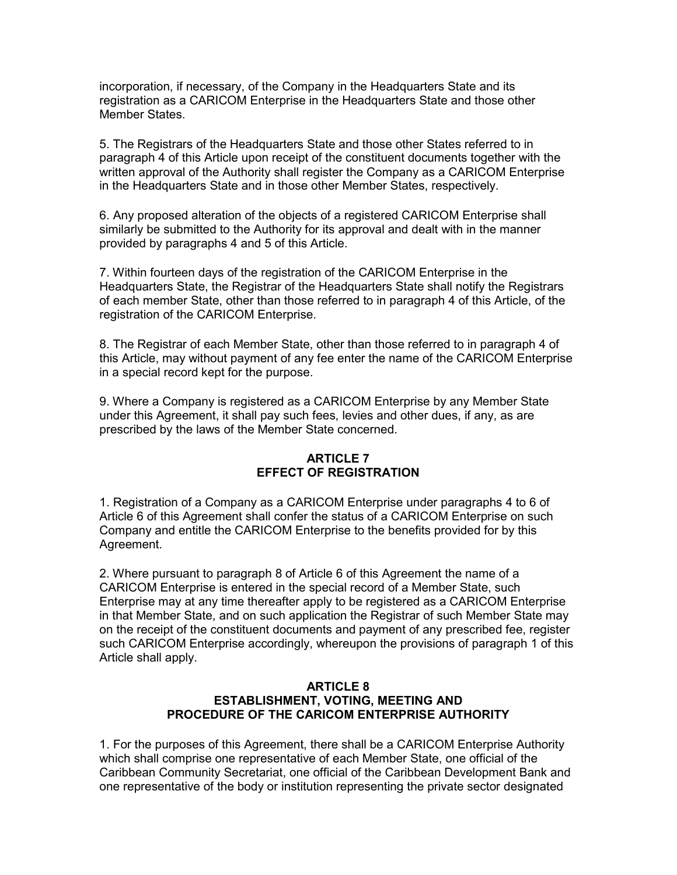incorporation, if necessary, of the Company in the Headquarters State and its registration as a CARICOM Enterprise in the Headquarters State and those other Member States.

5. The Registrars of the Headquarters State and those other States referred to in paragraph 4 of this Article upon receipt of the constituent documents together with the written approval of the Authority shall register the Company as a CARICOM Enterprise in the Headquarters State and in those other Member States, respectively.

6. Any proposed alteration of the objects of a registered CARICOM Enterprise shall similarly be submitted to the Authority for its approval and dealt with in the manner provided by paragraphs 4 and 5 of this Article.

7. Within fourteen days of the registration of the CARICOM Enterprise in the Headquarters State, the Registrar of the Headquarters State shall notify the Registrars of each member State, other than those referred to in paragraph 4 of this Article, of the registration of the CARICOM Enterprise.

8. The Registrar of each Member State, other than those referred to in paragraph 4 of this Article, may without payment of any fee enter the name of the CARICOM Enterprise in a special record kept for the purpose.

9. Where a Company is registered as a CARICOM Enterprise by any Member State under this Agreement, it shall pay such fees, levies and other dues, if any, as are prescribed by the laws of the Member State concerned.

# ARTICLE 7 EFFECT OF REGISTRATION

1. Registration of a Company as a CARICOM Enterprise under paragraphs 4 to 6 of Article 6 of this Agreement shall confer the status of a CARICOM Enterprise on such Company and entitle the CARICOM Enterprise to the benefits provided for by this Agreement.

2. Where pursuant to paragraph 8 of Article 6 of this Agreement the name of a CARICOM Enterprise is entered in the special record of a Member State, such Enterprise may at any time thereafter apply to be registered as a CARICOM Enterprise in that Member State, and on such application the Registrar of such Member State may on the receipt of the constituent documents and payment of any prescribed fee, register such CARICOM Enterprise accordingly, whereupon the provisions of paragraph 1 of this Article shall apply.

# ARTICLE 8 ESTABLISHMENT, VOTING, MEETING AND PROCEDURE OF THE CARICOM ENTERPRISE AUTHORITY

1. For the purposes of this Agreement, there shall be a CARICOM Enterprise Authority which shall comprise one representative of each Member State, one official of the Caribbean Community Secretariat, one official of the Caribbean Development Bank and one representative of the body or institution representing the private sector designated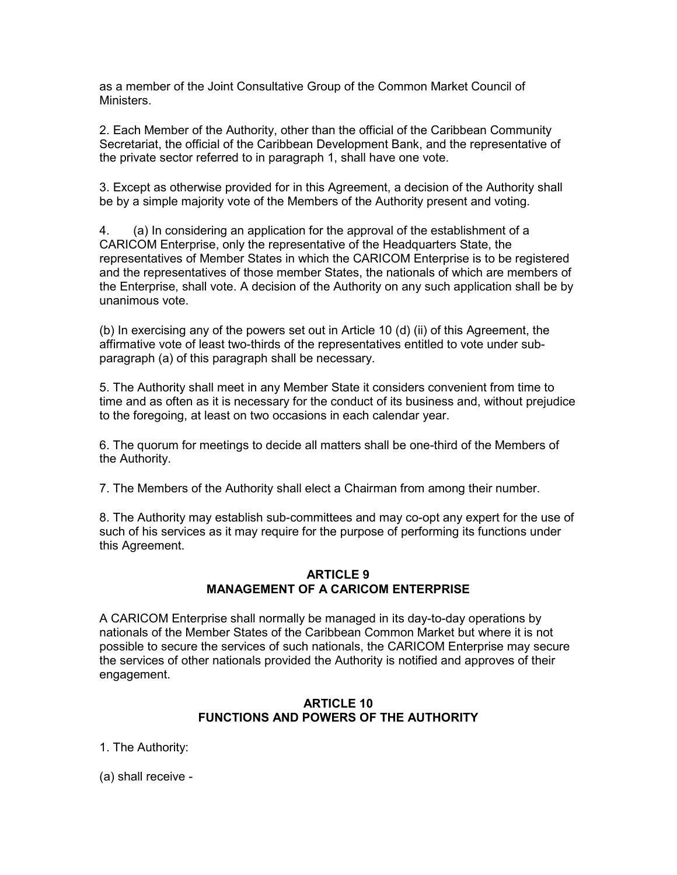as a member of the Joint Consultative Group of the Common Market Council of Ministers.

2. Each Member of the Authority, other than the official of the Caribbean Community Secretariat, the official of the Caribbean Development Bank, and the representative of the private sector referred to in paragraph 1, shall have one vote.

3. Except as otherwise provided for in this Agreement, a decision of the Authority shall be by a simple majority vote of the Members of the Authority present and voting.

4. (a) In considering an application for the approval of the establishment of a CARICOM Enterprise, only the representative of the Headquarters State, the representatives of Member States in which the CARICOM Enterprise is to be registered and the representatives of those member States, the nationals of which are members of the Enterprise, shall vote. A decision of the Authority on any such application shall be by unanimous vote.

(b) In exercising any of the powers set out in Article 10 (d) (ii) of this Agreement, the affirmative vote of least two-thirds of the representatives entitled to vote under subparagraph (a) of this paragraph shall be necessary.

5. The Authority shall meet in any Member State it considers convenient from time to time and as often as it is necessary for the conduct of its business and, without prejudice to the foregoing, at least on two occasions in each calendar year.

6. The quorum for meetings to decide all matters shall be one-third of the Members of the Authority.

7. The Members of the Authority shall elect a Chairman from among their number.

8. The Authority may establish sub-committees and may co-opt any expert for the use of such of his services as it may require for the purpose of performing its functions under this Agreement.

# ARTICLE 9 MANAGEMENT OF A CARICOM ENTERPRISE

A CARICOM Enterprise shall normally be managed in its day-to-day operations by nationals of the Member States of the Caribbean Common Market but where it is not possible to secure the services of such nationals, the CARICOM Enterprise may secure the services of other nationals provided the Authority is notified and approves of their engagement.

# ARTICLE 10 FUNCTIONS AND POWERS OF THE AUTHORITY

1. The Authority:

(a) shall receive -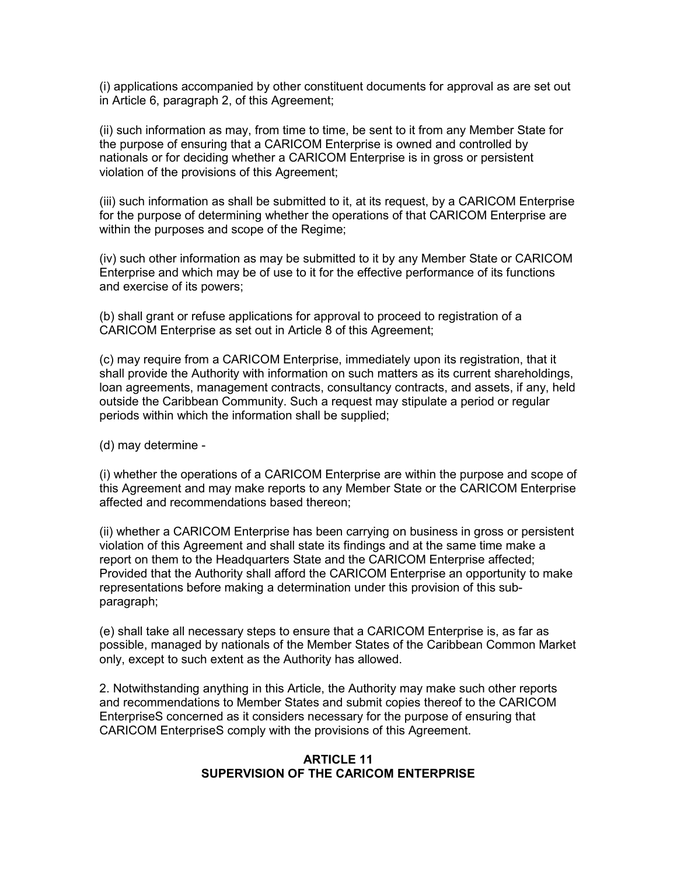(i) applications accompanied by other constituent documents for approval as are set out in Article 6, paragraph 2, of this Agreement;

(ii) such information as may, from time to time, be sent to it from any Member State for the purpose of ensuring that a CARICOM Enterprise is owned and controlled by nationals or for deciding whether a CARICOM Enterprise is in gross or persistent violation of the provisions of this Agreement;

(iii) such information as shall be submitted to it, at its request, by a CARICOM Enterprise for the purpose of determining whether the operations of that CARICOM Enterprise are within the purposes and scope of the Regime;

(iv) such other information as may be submitted to it by any Member State or CARICOM Enterprise and which may be of use to it for the effective performance of its functions and exercise of its powers;

(b) shall grant or refuse applications for approval to proceed to registration of a CARICOM Enterprise as set out in Article 8 of this Agreement;

(c) may require from a CARICOM Enterprise, immediately upon its registration, that it shall provide the Authority with information on such matters as its current shareholdings, loan agreements, management contracts, consultancy contracts, and assets, if any, held outside the Caribbean Community. Such a request may stipulate a period or regular periods within which the information shall be supplied;

(d) may determine -

(i) whether the operations of a CARICOM Enterprise are within the purpose and scope of this Agreement and may make reports to any Member State or the CARICOM Enterprise affected and recommendations based thereon;

(ii) whether a CARICOM Enterprise has been carrying on business in gross or persistent violation of this Agreement and shall state its findings and at the same time make a report on them to the Headquarters State and the CARICOM Enterprise affected; Provided that the Authority shall afford the CARICOM Enterprise an opportunity to make representations before making a determination under this provision of this subparagraph;

(e) shall take all necessary steps to ensure that a CARICOM Enterprise is, as far as possible, managed by nationals of the Member States of the Caribbean Common Market only, except to such extent as the Authority has allowed.

2. Notwithstanding anything in this Article, the Authority may make such other reports and recommendations to Member States and submit copies thereof to the CARICOM EnterpriseS concerned as it considers necessary for the purpose of ensuring that CARICOM EnterpriseS comply with the provisions of this Agreement.

#### ARTICLE 11 SUPERVISION OF THE CARICOM ENTERPRISE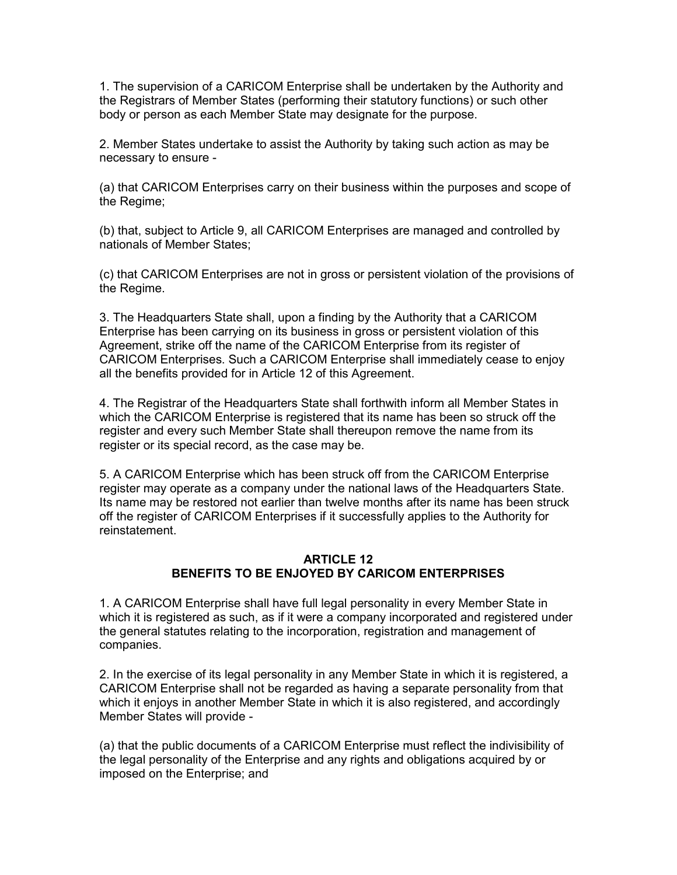1. The supervision of a CARICOM Enterprise shall be undertaken by the Authority and the Registrars of Member States (performing their statutory functions) or such other body or person as each Member State may designate for the purpose.

2. Member States undertake to assist the Authority by taking such action as may be necessary to ensure -

(a) that CARICOM Enterprises carry on their business within the purposes and scope of the Regime;

(b) that, subject to Article 9, all CARICOM Enterprises are managed and controlled by nationals of Member States;

(c) that CARICOM Enterprises are not in gross or persistent violation of the provisions of the Regime.

3. The Headquarters State shall, upon a finding by the Authority that a CARICOM Enterprise has been carrying on its business in gross or persistent violation of this Agreement, strike off the name of the CARICOM Enterprise from its register of CARICOM Enterprises. Such a CARICOM Enterprise shall immediately cease to enjoy all the benefits provided for in Article 12 of this Agreement.

4. The Registrar of the Headquarters State shall forthwith inform all Member States in which the CARICOM Enterprise is registered that its name has been so struck off the register and every such Member State shall thereupon remove the name from its register or its special record, as the case may be.

5. A CARICOM Enterprise which has been struck off from the CARICOM Enterprise register may operate as a company under the national laws of the Headquarters State. Its name may be restored not earlier than twelve months after its name has been struck off the register of CARICOM Enterprises if it successfully applies to the Authority for reinstatement.

## ARTICLE 12 BENEFITS TO BE ENJOYED BY CARICOM ENTERPRISES

1. A CARICOM Enterprise shall have full legal personality in every Member State in which it is registered as such, as if it were a company incorporated and registered under the general statutes relating to the incorporation, registration and management of companies.

2. In the exercise of its legal personality in any Member State in which it is registered, a CARICOM Enterprise shall not be regarded as having a separate personality from that which it enjoys in another Member State in which it is also registered, and accordingly Member States will provide -

(a) that the public documents of a CARICOM Enterprise must reflect the indivisibility of the legal personality of the Enterprise and any rights and obligations acquired by or imposed on the Enterprise; and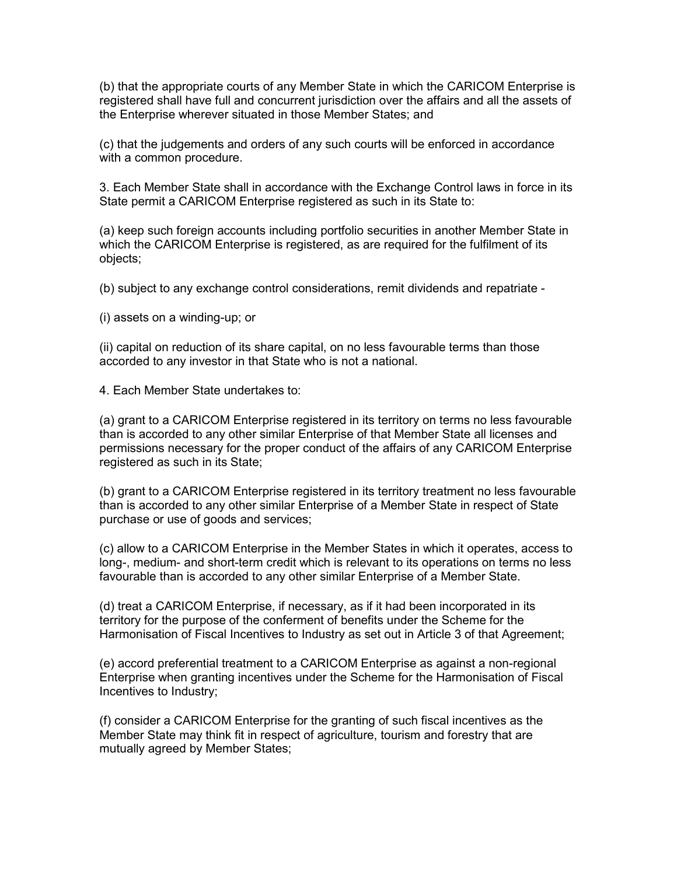(b) that the appropriate courts of any Member State in which the CARICOM Enterprise is registered shall have full and concurrent jurisdiction over the affairs and all the assets of the Enterprise wherever situated in those Member States; and

(c) that the judgements and orders of any such courts will be enforced in accordance with a common procedure.

3. Each Member State shall in accordance with the Exchange Control laws in force in its State permit a CARICOM Enterprise registered as such in its State to:

(a) keep such foreign accounts including portfolio securities in another Member State in which the CARICOM Enterprise is registered, as are required for the fulfilment of its objects;

(b) subject to any exchange control considerations, remit dividends and repatriate -

(i) assets on a winding-up; or

(ii) capital on reduction of its share capital, on no less favourable terms than those accorded to any investor in that State who is not a national.

4. Each Member State undertakes to:

(a) grant to a CARICOM Enterprise registered in its territory on terms no less favourable than is accorded to any other similar Enterprise of that Member State all licenses and permissions necessary for the proper conduct of the affairs of any CARICOM Enterprise registered as such in its State;

(b) grant to a CARICOM Enterprise registered in its territory treatment no less favourable than is accorded to any other similar Enterprise of a Member State in respect of State purchase or use of goods and services;

(c) allow to a CARICOM Enterprise in the Member States in which it operates, access to long-, medium- and short-term credit which is relevant to its operations on terms no less favourable than is accorded to any other similar Enterprise of a Member State.

(d) treat a CARICOM Enterprise, if necessary, as if it had been incorporated in its territory for the purpose of the conferment of benefits under the Scheme for the Harmonisation of Fiscal Incentives to Industry as set out in Article 3 of that Agreement;

(e) accord preferential treatment to a CARICOM Enterprise as against a non-regional Enterprise when granting incentives under the Scheme for the Harmonisation of Fiscal Incentives to Industry;

(f) consider a CARICOM Enterprise for the granting of such fiscal incentives as the Member State may think fit in respect of agriculture, tourism and forestry that are mutually agreed by Member States;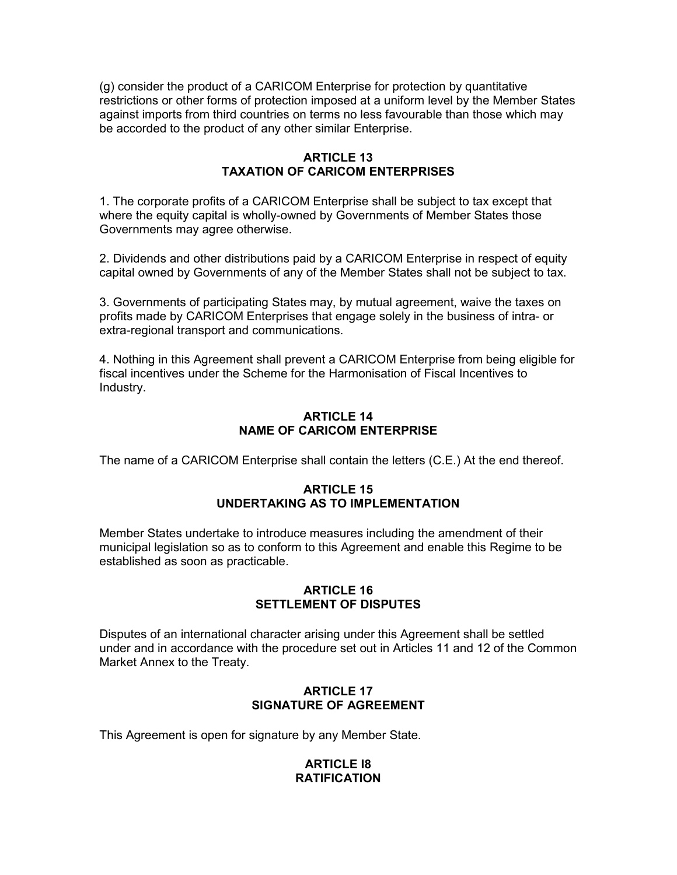(g) consider the product of a CARICOM Enterprise for protection by quantitative restrictions or other forms of protection imposed at a uniform level by the Member States against imports from third countries on terms no less favourable than those which may be accorded to the product of any other similar Enterprise.

## ARTICLE 13 TAXATION OF CARICOM ENTERPRISES

1. The corporate profits of a CARICOM Enterprise shall be subject to tax except that where the equity capital is wholly-owned by Governments of Member States those Governments may agree otherwise.

2. Dividends and other distributions paid by a CARICOM Enterprise in respect of equity capital owned by Governments of any of the Member States shall not be subject to tax.

3. Governments of participating States may, by mutual agreement, waive the taxes on profits made by CARICOM Enterprises that engage solely in the business of intra- or extra-regional transport and communications.

4. Nothing in this Agreement shall prevent a CARICOM Enterprise from being eligible for fiscal incentives under the Scheme for the Harmonisation of Fiscal Incentives to Industry.

## ARTICLE 14 NAME OF CARICOM ENTERPRISE

The name of a CARICOM Enterprise shall contain the letters (C.E.) At the end thereof.

# ARTICLE 15 UNDERTAKING AS TO IMPLEMENTATION

Member States undertake to introduce measures including the amendment of their municipal legislation so as to conform to this Agreement and enable this Regime to be established as soon as practicable.

## ARTICLE 16 SETTLEMENT OF DISPUTES

Disputes of an international character arising under this Agreement shall be settled under and in accordance with the procedure set out in Articles 11 and 12 of the Common Market Annex to the Treaty.

# ARTICLE 17 SIGNATURE OF AGREEMENT

This Agreement is open for signature by any Member State.

# ARTICLE I8 **RATIFICATION**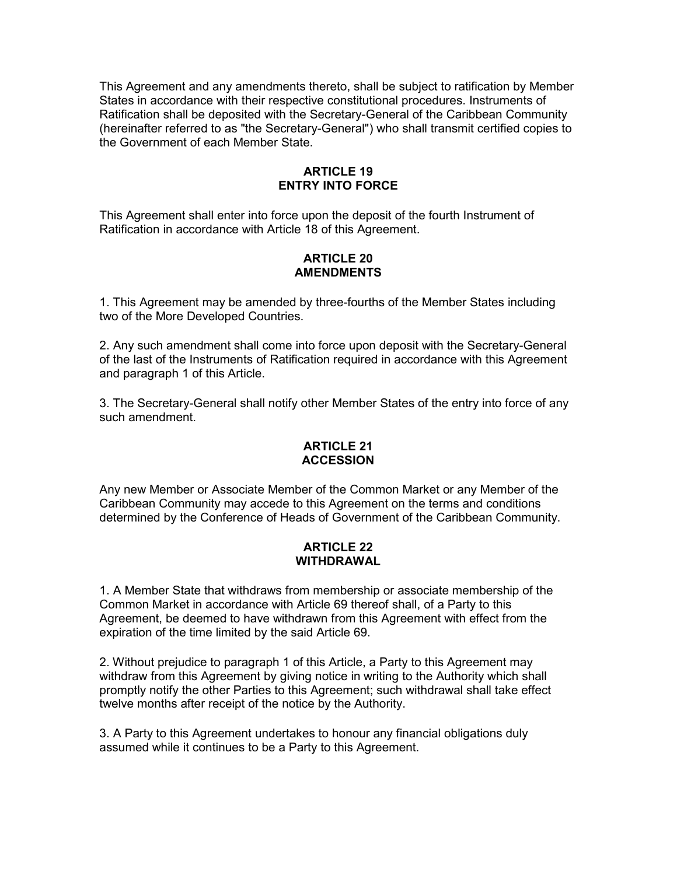This Agreement and any amendments thereto, shall be subject to ratification by Member States in accordance with their respective constitutional procedures. Instruments of Ratification shall be deposited with the Secretary-General of the Caribbean Community (hereinafter referred to as "the Secretary-General") who shall transmit certified copies to the Government of each Member State.

## ARTICLE 19 ENTRY INTO FORCE

This Agreement shall enter into force upon the deposit of the fourth Instrument of Ratification in accordance with Article 18 of this Agreement.

## ARTICLE 20 **AMENDMENTS**

1. This Agreement may be amended by three-fourths of the Member States including two of the More Developed Countries.

2. Any such amendment shall come into force upon deposit with the Secretary-General of the last of the Instruments of Ratification required in accordance with this Agreement and paragraph 1 of this Article.

3. The Secretary-General shall notify other Member States of the entry into force of any such amendment.

#### ARTICLE 21 **ACCESSION**

Any new Member or Associate Member of the Common Market or any Member of the Caribbean Community may accede to this Agreement on the terms and conditions determined by the Conference of Heads of Government of the Caribbean Community.

#### ARTICLE 22 WITHDRAWAL

1. A Member State that withdraws from membership or associate membership of the Common Market in accordance with Article 69 thereof shall, of a Party to this Agreement, be deemed to have withdrawn from this Agreement with effect from the expiration of the time limited by the said Article 69.

2. Without prejudice to paragraph 1 of this Article, a Party to this Agreement may withdraw from this Agreement by giving notice in writing to the Authority which shall promptly notify the other Parties to this Agreement; such withdrawal shall take effect twelve months after receipt of the notice by the Authority.

3. A Party to this Agreement undertakes to honour any financial obligations duly assumed while it continues to be a Party to this Agreement.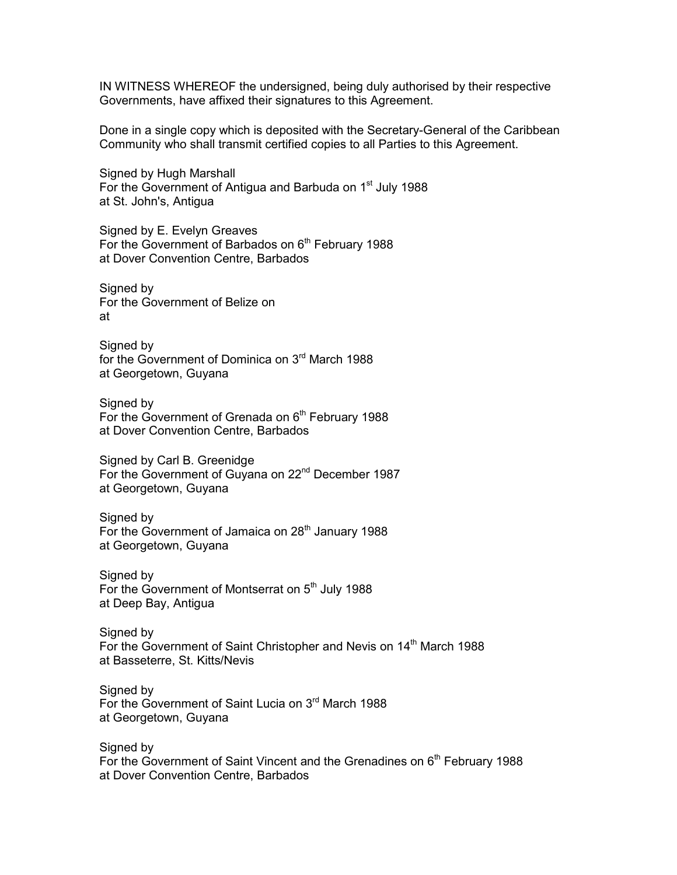IN WITNESS WHEREOF the undersigned, being duly authorised by their respective Governments, have affixed their signatures to this Agreement.

Done in a single copy which is deposited with the Secretary-General of the Caribbean Community who shall transmit certified copies to all Parties to this Agreement.

Signed by Hugh Marshall For the Government of Antigua and Barbuda on 1<sup>st</sup> July 1988 at St. John's, Antigua

Signed by E. Evelyn Greaves For the Government of Barbados on 6<sup>th</sup> February 1988 at Dover Convention Centre, Barbados

Signed by For the Government of Belize on at

Signed by for the Government of Dominica on 3<sup>rd</sup> March 1988 at Georgetown, Guyana

Signed by For the Government of Grenada on  $6<sup>th</sup>$  February 1988 at Dover Convention Centre, Barbados

Signed by Carl B. Greenidge For the Government of Guyana on 22<sup>nd</sup> December 1987 at Georgetown, Guyana

Signed by For the Government of Jamaica on  $28<sup>th</sup>$  January 1988 at Georgetown, Guyana

Signed by For the Government of Montserrat on  $5<sup>th</sup>$  July 1988 at Deep Bay, Antigua

Signed by For the Government of Saint Christopher and Nevis on 14<sup>th</sup> March 1988 at Basseterre, St. Kitts/Nevis

Signed by For the Government of Saint Lucia on 3<sup>rd</sup> March 1988 at Georgetown, Guyana

Signed by For the Government of Saint Vincent and the Grenadines on 6<sup>th</sup> February 1988 at Dover Convention Centre, Barbados